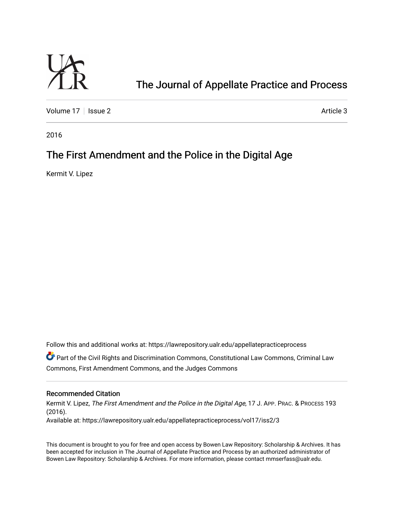

# [The Journal of Appellate Practice and Process](https://lawrepository.ualr.edu/appellatepracticeprocess)

[Volume 17](https://lawrepository.ualr.edu/appellatepracticeprocess/vol17) | [Issue 2](https://lawrepository.ualr.edu/appellatepracticeprocess/vol17/iss2) Article 3

2016

## The First Amendment and the Police in the Digital Age

Kermit V. Lipez

Follow this and additional works at: [https://lawrepository.ualr.edu/appellatepracticeprocess](https://lawrepository.ualr.edu/appellatepracticeprocess?utm_source=lawrepository.ualr.edu%2Fappellatepracticeprocess%2Fvol17%2Fiss2%2F3&utm_medium=PDF&utm_campaign=PDFCoverPages) 

**C** Part of the [Civil Rights and Discrimination Commons,](http://network.bepress.com/hgg/discipline/585?utm_source=lawrepository.ualr.edu%2Fappellatepracticeprocess%2Fvol17%2Fiss2%2F3&utm_medium=PDF&utm_campaign=PDFCoverPages) [Constitutional Law Commons,](http://network.bepress.com/hgg/discipline/589?utm_source=lawrepository.ualr.edu%2Fappellatepracticeprocess%2Fvol17%2Fiss2%2F3&utm_medium=PDF&utm_campaign=PDFCoverPages) Criminal Law [Commons](http://network.bepress.com/hgg/discipline/912?utm_source=lawrepository.ualr.edu%2Fappellatepracticeprocess%2Fvol17%2Fiss2%2F3&utm_medium=PDF&utm_campaign=PDFCoverPages), [First Amendment Commons,](http://network.bepress.com/hgg/discipline/1115?utm_source=lawrepository.ualr.edu%2Fappellatepracticeprocess%2Fvol17%2Fiss2%2F3&utm_medium=PDF&utm_campaign=PDFCoverPages) and the [Judges Commons](http://network.bepress.com/hgg/discipline/849?utm_source=lawrepository.ualr.edu%2Fappellatepracticeprocess%2Fvol17%2Fiss2%2F3&utm_medium=PDF&utm_campaign=PDFCoverPages)

## Recommended Citation

Kermit V. Lipez, The First Amendment and the Police in the Digital Age, 17 J. APP. PRAC. & PROCESS 193 (2016). Available at: https://lawrepository.ualr.edu/appellatepracticeprocess/vol17/iss2/3

This document is brought to you for free and open access by [Bowen Law Repository: Scholarship & Archives.](macro%20site.link) It has been accepted for inclusion in The Journal of Appellate Practice and Process by an authorized administrator of Bowen Law Repository: Scholarship & Archives. For more information, please contact [mmserfass@ualr.edu.](mailto:mmserfass@ualr.edu)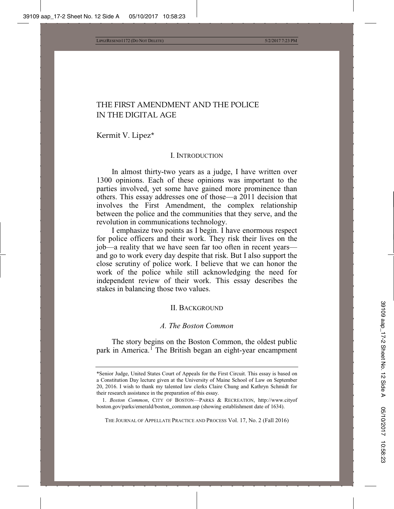## THE FIRST AMENDMENT AND THE POLICE IN THE DIGITAL AGE

Kermit V. Lipez\*

#### I. INTRODUCTION

In almost thirty-two years as a judge, I have written over 1300 opinions. Each of these opinions was important to the parties involved, yet some have gained more prominence than others. This essay addresses one of those—a 2011 decision that involves the First Amendment, the complex relationship between the police and the communities that they serve, and the revolution in communications technology.

I emphasize two points as I begin. I have enormous respect for police officers and their work. They risk their lives on the job—a reality that we have seen far too often in recent years and go to work every day despite that risk. But I also support the close scrutiny of police work. I believe that we can honor the work of the police while still acknowledging the need for independent review of their work. This essay describes the stakes in balancing those two values.

#### II. BACKGROUND

#### *A. The Boston Common*

The story begins on the Boston Common, the oldest public park in America.<sup>1</sup> The British began an eight-year encampment

THE JOURNAL OF APPELLATE PRACTICE AND PROCESS Vol. 17, No. 2 (Fall 2016)

<sup>\*</sup>Senior Judge, United States Court of Appeals for the First Circuit. This essay is based on a Constitution Day lecture given at the University of Maine School of Law on September 20, 2016. I wish to thank my talented law clerks Claire Chung and Kathryn Schmidt for their research assistance in the preparation of this essay.

<sup>1.</sup> *Boston Common*, CITY OF BOSTON—PARKS & RECREATION, http://www.cityof boston.gov/parks/emerald/boston\_common.asp (showing establishment date of 1634).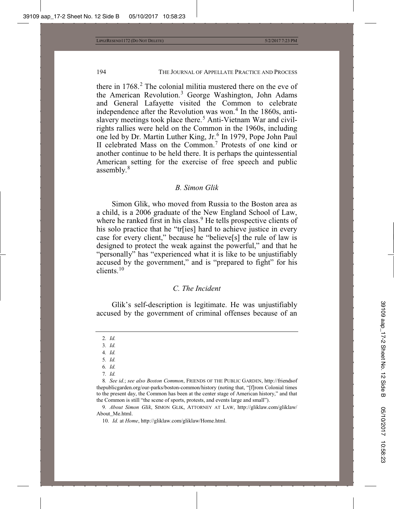there in  $1768<sup>2</sup>$ . The colonial militia mustered there on the eve of the American Revolution.<sup>3</sup> George Washington, John Adams and General Lafayette visited the Common to celebrate independence after the Revolution was won.<sup>4</sup> In the 1860s, antislavery meetings took place there.<sup>5</sup> Anti-Vietnam War and civilrights rallies were held on the Common in the 1960s, including one led by Dr. Martin Luther King, Jr.<sup>6</sup> In 1979, Pope John Paul II celebrated Mass on the Common.<sup>7</sup> Protests of one kind or another continue to be held there. It is perhaps the quintessential American setting for the exercise of free speech and public assembly. $8$ 

#### *B. Simon Glik*

Simon Glik, who moved from Russia to the Boston area as a child, is a 2006 graduate of the New England School of Law, where he ranked first in his class.<sup>9</sup> He tells prospective clients of his solo practice that he "tr[ies] hard to achieve justice in every case for every client," because he "believe[s] the rule of law is designed to protect the weak against the powerful," and that he "personally" has "experienced what it is like to be unjustifiably accused by the government," and is "prepared to fight" for his clients.<sup>10</sup>

#### *C. The Incident*

Glik's self-description is legitimate. He was unjustifiably accused by the government of criminal offenses because of an

- 3*. Id.*
- 4*. Id.*
- 5*. Id.*
- 6*. Id.*
- 7*. Id.*

9*. About Simon Glik*, SIMON GLIK, ATTORNEY AT LAW, http://gliklaw.com/gliklaw/ About\_Me.html.

10. *Id.* at *Home*, http://gliklaw.com/gliklaw/Home.html.

<sup>2</sup>*. Id.*

<sup>8</sup>*. See id.*; *see also Boston Common*, FRIENDS OF THE PUBLIC GARDEN, http://friendsof thepublicgarden.org/our-parks/boston-common/history (noting that, "[f]rom Colonial times to the present day, the Common has been at the center stage of American history," and that the Common is still "the scene of sports, protests, and events large and small").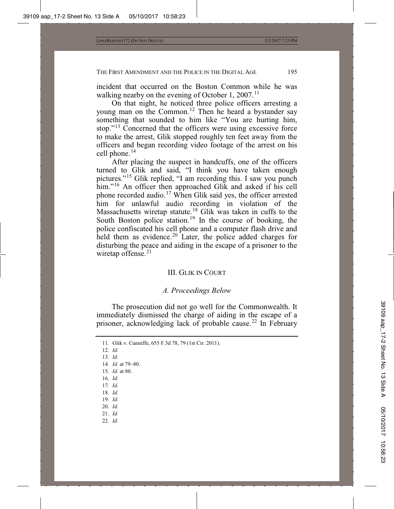incident that occurred on the Boston Common while he was walking nearby on the evening of October 1, 2007.<sup>11</sup>

On that night, he noticed three police officers arresting a young man on the Common.<sup>12</sup> Then he heard a bystander say something that sounded to him like "You are hurting him, stop."<sup>13</sup> Concerned that the officers were using excessive force to make the arrest, Glik stopped roughly ten feet away from the officers and began recording video footage of the arrest on his cell phone.<sup>14</sup>

After placing the suspect in handcuffs, one of the officers turned to Glik and said, "I think you have taken enough pictures."<sup>15</sup> Glik replied, "I am recording this. I saw you punch him."<sup>16</sup> An officer then approached Glik and asked if his cell phone recorded audio.<sup>17</sup> When Glik said yes, the officer arrested him for unlawful audio recording in violation of the Massachusetts wiretap statute.<sup>18</sup> Glik was taken in cuffs to the South Boston police station.<sup>19</sup> In the course of booking, the police confiscated his cell phone and a computer flash drive and held them as evidence.<sup>20</sup> Later, the police added charges for disturbing the peace and aiding in the escape of a prisoner to the wiretap offense.<sup>21</sup>

## III. GLIK IN COURT

## *A. Proceedings Below*

The prosecution did not go well for the Commonwealth. It immediately dismissed the charge of aiding in the escape of a prisoner, acknowledging lack of probable cause.<sup>22</sup> In February

- 12*. Id.*
- 13*. Id.*
- 14*. Id.* at 79–80.
- 15*. Id.* at 80.
- 16*. Id.*
- 17*. Id.*
- 18*. Id.*
- 19*. Id.*
- 20*. Id.*
- 21. *Id.*
- 22*. Id.*

<sup>11</sup>*.* Glik v. Cunniffe, 655 F.3d 78, 79 (1st Cir. 2011).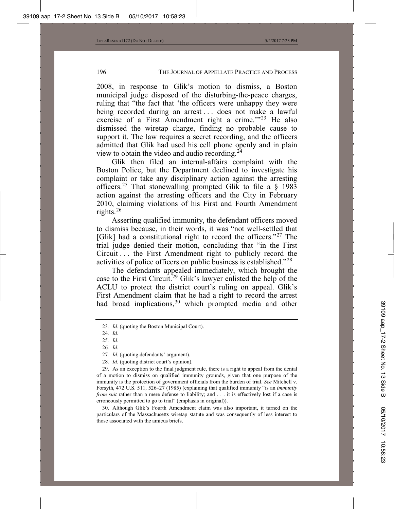2008, in response to Glik's motion to dismiss, a Boston municipal judge disposed of the disturbing-the-peace charges, ruling that "the fact that 'the officers were unhappy they were being recorded during an arrest ... does not make a lawful exercise of a First Amendment right a crime.'"<sup>23</sup> He also dismissed the wiretap charge, finding no probable cause to support it. The law requires a secret recording, and the officers admitted that Glik had used his cell phone openly and in plain view to obtain the video and audio recording.<sup>24</sup>

Glik then filed an internal-affairs complaint with the Boston Police, but the Department declined to investigate his complaint or take any disciplinary action against the arresting officers.<sup>25</sup> That stonewalling prompted Glik to file a  $\S$  1983 action against the arresting officers and the City in February 2010, claiming violations of his First and Fourth Amendment rights. $^{26}$ 

Asserting qualified immunity, the defendant officers moved to dismiss because, in their words, it was "not well-settled that [Glik] had a constitutional right to record the officers."<sup>27</sup> The trial judge denied their motion, concluding that "in the First Circuit . . . the First Amendment right to publicly record the activities of police officers on public business is established."<sup>28</sup>

The defendants appealed immediately, which brought the case to the First Circuit.<sup>29</sup> Glik's lawyer enlisted the help of the ACLU to protect the district court's ruling on appeal. Glik's First Amendment claim that he had a right to record the arrest had broad implications,<sup>30</sup> which prompted media and other

28*. Id.* (quoting district court's opinion).

30. Although Glik's Fourth Amendment claim was also important, it turned on the particulars of the Massachusetts wiretap statute and was consequently of less interest to those associated with the amicus briefs.

<sup>23</sup>*. Id.* (quoting the Boston Municipal Court).

<sup>24</sup>*. Id.*

<sup>25</sup>*. Id.*

<sup>26</sup>*. Id.*

<sup>27</sup>*. Id.* (quoting defendants' argument).

<sup>29.</sup> As an exception to the final judgment rule, there is a right to appeal from the denial of a motion to dismiss on qualified immunity grounds, given that one purpose of the immunity is the protection of government officials from the burden of trial. *See* Mitchell v. Forsyth, 472 U.S. 511, 526–27 (1985) (explaining that qualified immunity "is an *immunity from suit* rather than a mere defense to liability; and . . . it is effectively lost if a case is erroneously permitted to go to trial" (emphasis in original)).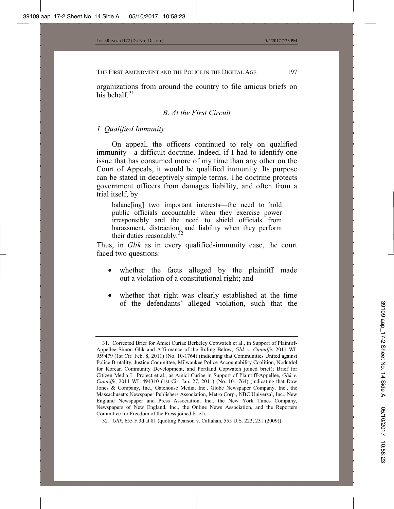organizations from around the country to file amicus briefs on his behalf. $31$ 

#### *B. At the First Circuit*

## *1. Qualified Immunity*

On appeal, the officers continued to rely on qualified immunity—a difficult doctrine. Indeed, if I had to identify one issue that has consumed more of my time than any other on the Court of Appeals, it would be qualified immunity. Its purpose can be stated in deceptively simple terms. The doctrine protects government officers from damages liability, and often from a trial itself, by

balanc[ing] two important interests—the need to hold public officials accountable when they exercise power irresponsibly and the need to shield officials from harassment, distraction, and liability when they perform their duties reasonably.<sup>32</sup>

Thus, in *Glik* as in every qualified-immunity case, the court faced two questions:

- whether the facts alleged by the plaintiff made out a violation of a constitutional right; and
- whether that right was clearly established at the time of the defendants' alleged violation, such that the

<sup>31.</sup> Corrected Brief for Amici Curiae Berkeley Copwatch et al., in Support of Plaintiff-Appellee Simon Glik and Affirmance of the Ruling Below, *Glik v. Cunniffe*, 2011 WL 959479 (1st Cir. Feb. 8, 2011) (No. 10-1764) (indicating that Communities United against Police Brutality, Justice Committee, Milwaukee Police Accountability Coalition, Nodutdol for Korean Community Development, and Portland Copwatch joined brief); Brief for Citizen Media L. Project et al., as Amici Curiae in Support of Plaintiff-Appellee, *Glik v. Cunniffe*, 2011 WL 494310 (1st Cir. Jan. 27, 2011) (No. 10-1764) (indicating that Dow Jones & Company, Inc., Gatehouse Media, Inc., Globe Newspaper Company, Inc., the Massachusetts Newspaper Publishers Association, Metro Corp., NBC Universal, Inc., New England Newspaper and Press Association, Inc., the New York Times Company, Newspapers of New England, Inc., the Online News Association, and the Reporters Committee for Freedom of the Press joined brief).

<sup>32</sup>*. Glik*, 655 F.3d at 81 (quoting Pearson v. Callahan, 555 U.S. 223, 231 (2009)).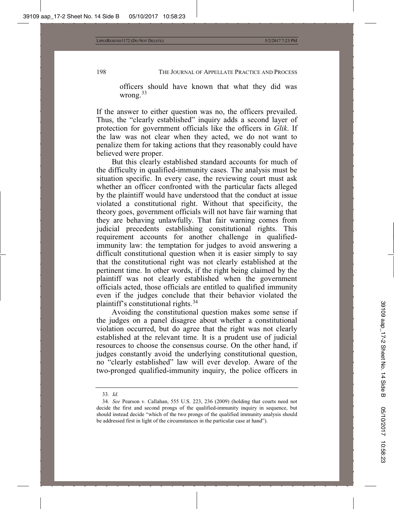officers should have known that what they did was wrong. $33$ 

If the answer to either question was no, the officers prevailed. Thus, the "clearly established" inquiry adds a second layer of protection for government officials like the officers in *Glik*. If the law was not clear when they acted, we do not want to penalize them for taking actions that they reasonably could have believed were proper.

But this clearly established standard accounts for much of the difficulty in qualified-immunity cases. The analysis must be situation specific. In every case, the reviewing court must ask whether an officer confronted with the particular facts alleged by the plaintiff would have understood that the conduct at issue violated a constitutional right. Without that specificity, the theory goes, government officials will not have fair warning that they are behaving unlawfully. That fair warning comes from judicial precedents establishing constitutional rights. This requirement accounts for another challenge in qualifiedimmunity law: the temptation for judges to avoid answering a difficult constitutional question when it is easier simply to say that the constitutional right was not clearly established at the pertinent time. In other words, if the right being claimed by the plaintiff was not clearly established when the government officials acted, those officials are entitled to qualified immunity even if the judges conclude that their behavior violated the plaintiff's constitutional rights.<sup>34</sup>

Avoiding the constitutional question makes some sense if the judges on a panel disagree about whether a constitutional violation occurred, but do agree that the right was not clearly established at the relevant time. It is a prudent use of judicial resources to choose the consensus course. On the other hand, if judges constantly avoid the underlying constitutional question, no "clearly established" law will ever develop. Aware of the two-pronged qualified-immunity inquiry, the police officers in

<sup>33</sup>*. Id*.

<sup>34</sup>*. See* Pearson v. Callahan, 555 U.S. 223, 236 (2009) (holding that courts need not decide the first and second prongs of the qualified-immunity inquiry in sequence, but should instead decide "which of the two prongs of the qualified immunity analysis should be addressed first in light of the circumstances in the particular case at hand").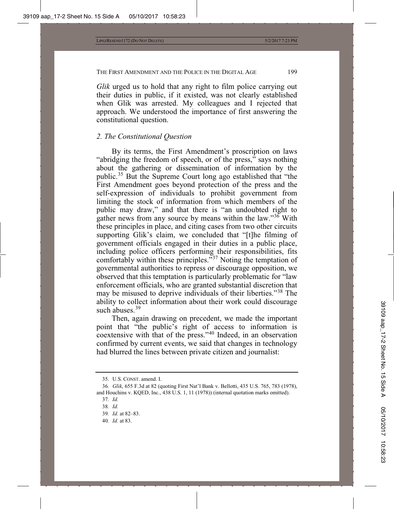*Glik* urged us to hold that any right to film police carrying out their duties in public, if it existed, was not clearly established when Glik was arrested. My colleagues and I rejected that approach. We understood the importance of first answering the constitutional question.

## *2. The Constitutional Question*

By its terms, the First Amendment's proscription on laws "abridging the freedom of speech, or of the press," says nothing about the gathering or dissemination of information by the public.<sup>35</sup> But the Supreme Court long ago established that "the First Amendment goes beyond protection of the press and the self-expression of individuals to prohibit government from limiting the stock of information from which members of the public may draw," and that there is "an undoubted right to gather news from any source by means within the law." $36$  With these principles in place, and citing cases from two other circuits supporting Glik's claim, we concluded that "[t]he filming of government officials engaged in their duties in a public place, including police officers performing their responsibilities, fits comfortably within these principles."<sup>37</sup> Noting the temptation of governmental authorities to repress or discourage opposition, we observed that this temptation is particularly problematic for "law enforcement officials, who are granted substantial discretion that may be misused to deprive individuals of their liberties."<sup>38</sup> The ability to collect information about their work could discourage such abuses.<sup>39</sup>

Then, again drawing on precedent, we made the important point that "the public's right of access to information is coextensive with that of the press."<sup>40</sup> Indeed, in an observation confirmed by current events, we said that changes in technology had blurred the lines between private citizen and journalist:

<sup>35.</sup> U.S. CONST. amend. I.

<sup>36</sup>*. Glik*, 655 F.3d at 82 (quoting First Nat'l Bank v. Bellotti, 435 U.S. 765, 783 (1978), and Houchins v. KQED, Inc., 438 U.S. 1, 11 (1978)) (internal quotation marks omitted).

<sup>37</sup>*. Id.*

<sup>38</sup>*. Id.*

<sup>39</sup>*. Id.* at 82–83.

<sup>40</sup>*. Id.* at 83.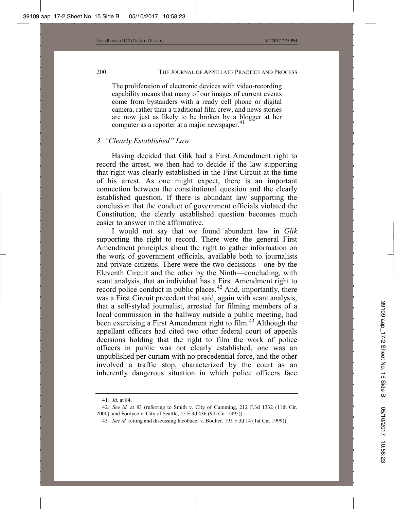The proliferation of electronic devices with video-recording capability means that many of our images of current events come from bystanders with a ready cell phone or digital camera, rather than a traditional film crew, and news stories are now just as likely to be broken by a blogger at her computer as a reporter at a major newspaper.<sup>41</sup>

## *3. "Clearly Established" Law*

Having decided that Glik had a First Amendment right to record the arrest, we then had to decide if the law supporting that right was clearly established in the First Circuit at the time of his arrest. As one might expect, there is an important connection between the constitutional question and the clearly established question. If there is abundant law supporting the conclusion that the conduct of government officials violated the Constitution, the clearly established question becomes much easier to answer in the affirmative.

I would not say that we found abundant law in *Glik* supporting the right to record. There were the general First Amendment principles about the right to gather information on the work of government officials, available both to journalists and private citizens. There were the two decisions—one by the Eleventh Circuit and the other by the Ninth—concluding, with scant analysis, that an individual has a First Amendment right to record police conduct in public places.<sup>42</sup> And, importantly, there was a First Circuit precedent that said, again with scant analysis, that a self-styled journalist, arrested for filming members of a local commission in the hallway outside a public meeting, had been exercising a First Amendment right to film.<sup>43</sup> Although the appellant officers had cited two other federal court of appeals decisions holding that the right to film the work of police officers in public was not clearly established, one was an unpublished per curiam with no precedential force, and the other involved a traffic stop, characterized by the court as an inherently dangerous situation in which police officers face

<sup>41</sup>*. Id.* at 84.

<sup>42</sup>*. See id.* at 83 (referring to Smith v. City of Cumming, 212 F.3d 1332 (11th Cir. 2000), and Fordyce v. City of Seattle, 55 F.3d 436 (9th Cir. 1995)).

<sup>43</sup>*. See id.* (citing and discussing Iacobucci v. Boulter, 193 F.3d 14 (1st Cir. 1999)).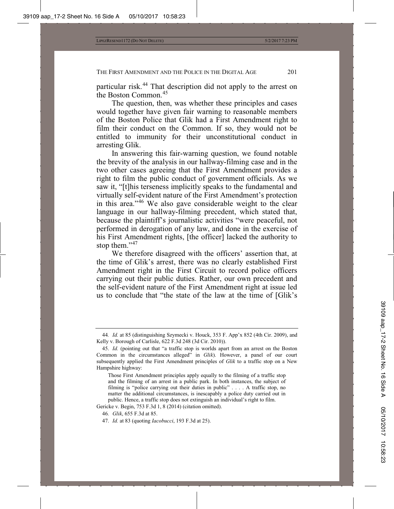particular risk.<sup>44</sup> That description did not apply to the arrest on the Boston Common.<sup>45</sup>

The question, then, was whether these principles and cases would together have given fair warning to reasonable members of the Boston Police that Glik had a First Amendment right to film their conduct on the Common. If so, they would not be entitled to immunity for their unconstitutional conduct in arresting Glik.

In answering this fair-warning question, we found notable the brevity of the analysis in our hallway-filming case and in the two other cases agreeing that the First Amendment provides a right to film the public conduct of government officials. As we saw it, "[t]his terseness implicitly speaks to the fundamental and virtually self-evident nature of the First Amendment's protection in this area."<sup>46</sup> We also gave considerable weight to the clear language in our hallway-filming precedent, which stated that, because the plaintiff's journalistic activities "were peaceful, not performed in derogation of any law, and done in the exercise of his First Amendment rights, [the officer] lacked the authority to stop them."<sup>47</sup>

We therefore disagreed with the officers' assertion that, at the time of Glik's arrest, there was no clearly established First Amendment right in the First Circuit to record police officers carrying out their public duties. Rather, our own precedent and the self-evident nature of the First Amendment right at issue led us to conclude that "the state of the law at the time of [Glik's

<sup>44</sup>*. Id.* at 85 (distinguishing Szymecki v. Houck, 353 F. App'x 852 (4th Cir. 2009), and Kelly v. Borough of Carlisle, 622 F.3d 248 (3d Cir. 2010)).

<sup>45.</sup> *Id.* (pointing out that "a traffic stop is worlds apart from an arrest on the Boston Common in the circumstances alleged" in *Glik*). However, a panel of our court subsequently applied the First Amendment principles of *Glik* to a traffic stop on a New Hampshire highway:

Those First Amendment principles apply equally to the filming of a traffic stop and the filming of an arrest in a public park. In both instances, the subject of filming is "police carrying out their duties in public" . . . . A traffic stop, no matter the additional circumstances, is inescapably a police duty carried out in public. Hence, a traffic stop does not extinguish an individual's right to film.

Gericke v. Begin, 753 F.3d 1, 8 (2014) (citation omitted).

<sup>46</sup>*. Glik*, 655 F.3d at 85.

<sup>47.</sup> *Id.* at 83 (quoting *Iacobucci*, 193 F.3d at 25).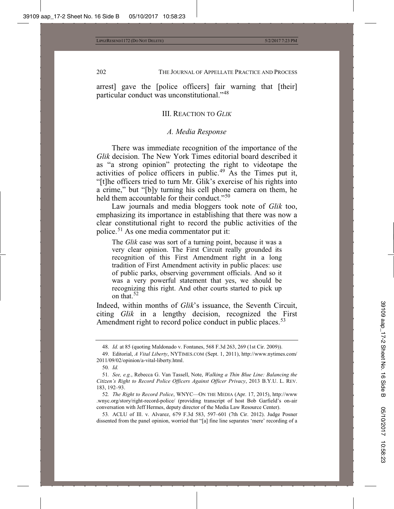arrest] gave the [police officers] fair warning that [their] particular conduct was unconstitutional."<sup>48</sup>

#### III. REACTION TO *GLIK*

#### *A. Media Response*

There was immediate recognition of the importance of the *Glik* decision. The New York Times editorial board described it as "a strong opinion" protecting the right to videotape the activities of police officers in public.<sup>49</sup> As the Times put it, "[t]he officers tried to turn Mr. Glik's exercise of his rights into a crime," but "[b]y turning his cell phone camera on them, he held them accountable for their conduct."<sup>50</sup>

Law journals and media bloggers took note of *Glik* too, emphasizing its importance in establishing that there was now a clear constitutional right to record the public activities of the police.<sup>51</sup> As one media commentator put it:

The *Glik* case was sort of a turning point, because it was a very clear opinion. The First Circuit really grounded its recognition of this First Amendment right in a long tradition of First Amendment activity in public places: use of public parks, observing government officials. And so it was a very powerful statement that yes, we should be recognizing this right. And other courts started to pick up on that.<sup>52</sup>

Indeed, within months of *Glik*'s issuance, the Seventh Circuit, citing *Glik* in a lengthy decision, recognized the First Amendment right to record police conduct in public places.<sup>53</sup>

52*. The Right to Record Police*, WNYC—ON THE MEDIA (Apr. 17, 2015), http://www .wnyc.org/story/right-record-police/ (providing transcript of host Bob Garfield's on-air conversation with Jeff Hermes, deputy director of the Media Law Resource Center).

53*.* ACLU of Ill. v. Alvarez, 679 F.3d 583, 597–601 (7th Cir. 2012). Judge Posner dissented from the panel opinion, worried that "[a] fine line separates 'mere' recording of a

<sup>48.</sup> *Id.* at 85 (quoting Maldonado v. Fontanes, 568 F.3d 263, 269 (1st Cir. 2009)).

<sup>49.</sup> Editorial, *A Vital Liberty*, NYTIMES.COM (Sept. 1, 2011), http://www.nytimes.com/ 2011/09/02/opinion/a-vital-liberty.html.

<sup>50</sup>*. Id.*

<sup>51</sup>*. See, e.g.*, Rebecca G. Van Tassell, Note, *Walking a Thin Blue Line: Balancing the Citizen's Right to Record Police Officers Against Officer Privacy*, 2013 B.Y.U. L. REV. 183, 192–93.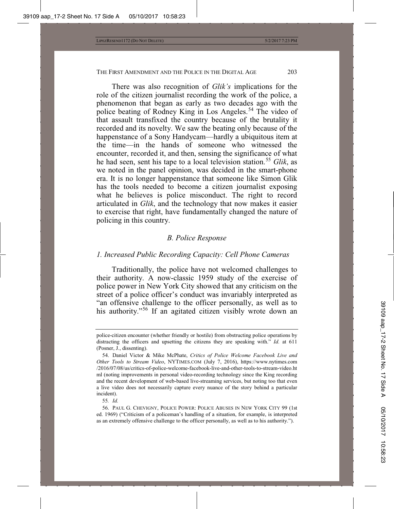There was also recognition of *Glik's* implications for the role of the citizen journalist recording the work of the police, a phenomenon that began as early as two decades ago with the police beating of Rodney King in Los Angeles.<sup>54</sup> The video of that assault transfixed the country because of the brutality it recorded and its novelty. We saw the beating only because of the happenstance of a Sony Handycam—hardly a ubiquitous item at the time—in the hands of someone who witnessed the encounter, recorded it, and then, sensing the significance of what he had seen, sent his tape to a local television station.<sup>55</sup> *Glik*, as we noted in the panel opinion, was decided in the smart-phone era. It is no longer happenstance that someone like Simon Glik has the tools needed to become a citizen journalist exposing what he believes is police misconduct. The right to record articulated in *Glik*, and the technology that now makes it easier to exercise that right, have fundamentally changed the nature of policing in this country.

#### *B. Police Response*

#### *1. Increased Public Recording Capacity: Cell Phone Cameras*

Traditionally, the police have not welcomed challenges to their authority. A now-classic 1959 study of the exercise of police power in New York City showed that any criticism on the street of a police officer's conduct was invariably interpreted as "an offensive challenge to the officer personally, as well as to his authority."<sup>56</sup> If an agitated citizen visibly wrote down an

55*. Id.*

police-citizen encounter (whether friendly or hostile) from obstructing police operations by distracting the officers and upsetting the citizens they are speaking with." *Id.* at 611 (Posner, J., dissenting).

<sup>54.</sup> Daniel Victor & Mike McPhate, *Critics of Police Welcome Facebook Live and Other Tools to Stream Video*, NYTIMES.COM (July 7, 2016), https://www.nytimes.com /2016/07/08/us/critics-of-police-welcome-facebook-live-and-other-tools-to-stream-video.ht ml (noting improvements in personal video-recording technology since the King recording and the recent development of web-based live-streaming services, but noting too that even a live video does not necessarily capture every nuance of the story behind a particular incident).

<sup>56.</sup> PAUL G. CHEVIGNY, POLICE POWER: POLICE ABUSES IN NEW YORK CITY 99 (1st ed. 1969) ("Criticism of a policeman's handling of a situation, for example, is interpreted as an extremely offensive challenge to the officer personally, as well as to his authority.").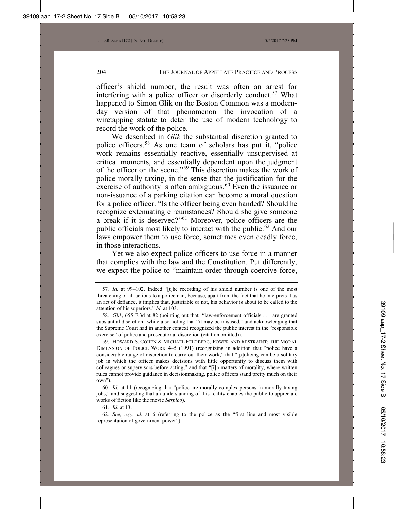officer's shield number, the result was often an arrest for interfering with a police officer or disorderly conduct.<sup>57</sup> What happened to Simon Glik on the Boston Common was a modernday version of that phenomenon—the invocation of a wiretapping statute to deter the use of modern technology to record the work of the police.

We described in *Glik* the substantial discretion granted to police officers.<sup>58</sup> As one team of scholars has put it, "police work remains essentially reactive, essentially unsupervised at critical moments, and essentially dependent upon the judgment of the officer on the scene."<sup>59</sup> This discretion makes the work of police morally taxing, in the sense that the justification for the exercise of authority is often ambiguous. $60$  Even the issuance or non-issuance of a parking citation can become a moral question for a police officer. "Is the officer being even handed? Should he recognize extenuating circumstances? Should she give someone a break if it is deserved?"<sup>61</sup> Moreover, police officers are the public officials most likely to interact with the public.<sup>62</sup> And our laws empower them to use force, sometimes even deadly force, in those interactions.

Yet we also expect police officers to use force in a manner that complies with the law and the Constitution. Put differently, we expect the police to "maintain order through coercive force,

<sup>57</sup>*. Id.* at 99–102. Indeed "[t]he recording of his shield number is one of the most threatening of all actions to a policeman, because, apart from the fact that he interprets it as an act of defiance, it implies that, justifiable or not, his behavior is about to be called to the attention of his superiors." *Id.* at 103.

<sup>58</sup>*. Glik*, 655 F.3d at 82 (pointing out that "law-enforcement officials . . . are granted substantial discretion" while also noting that "it may be misused," and acknowledging that the Supreme Court had in another context recognized the public interest in the "responsible exercise" of police and prosecutorial discretion (citation omitted)).

<sup>59.</sup> HOWARD S. COHEN & MICHAEL FELDBERG, POWER AND RESTRAINT: THE MORAL DIMENSION OF POLICE WORK 4–5 (1991) (recognizing in addition that "police have a considerable range of discretion to carry out their work," that "[p]olicing can be a solitary job in which the officer makes decisions with little opportunity to discuss them with colleagues or supervisors before acting," and that "[i]n matters of morality, where written rules cannot provide guidance in decisionmaking, police officers stand pretty much on their own").

<sup>60</sup>*. Id.* at 11 (recognizing that "police are morally complex persons in morally taxing jobs," and suggesting that an understanding of this reality enables the public to appreciate works of fiction like the movie *Serpico*).

<sup>61</sup>*. Id.* at 13.

<sup>62</sup>*. See, e.g.*, *id.* at 6 (referring to the police as the "first line and most visible representation of government power").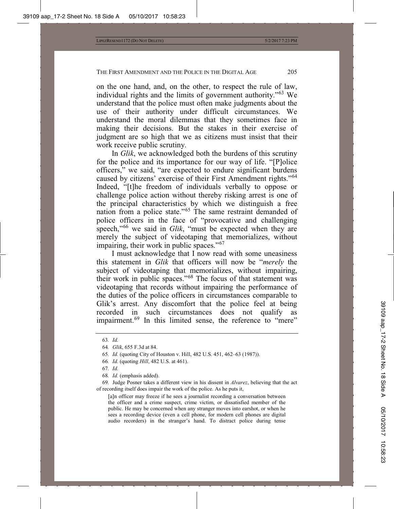on the one hand, and, on the other, to respect the rule of law, individual rights and the limits of government authority."<sup>63</sup> We understand that the police must often make judgments about the use of their authority under difficult circumstances. We understand the moral dilemmas that they sometimes face in making their decisions. But the stakes in their exercise of judgment are so high that we as citizens must insist that their work receive public scrutiny.

In *Glik*, we acknowledged both the burdens of this scrutiny for the police and its importance for our way of life. "[P]olice officers," we said, "are expected to endure significant burdens caused by citizens' exercise of their First Amendment rights."<sup>64</sup> Indeed, "[t]he freedom of individuals verbally to oppose or challenge police action without thereby risking arrest is one of the principal characteristics by which we distinguish a free nation from a police state."<sup>65</sup> The same restraint demanded of police officers in the face of "provocative and challenging speech,"<sup>66</sup> we said in *Glik*, "must be expected when they are merely the subject of videotaping that memorializes, without impairing, their work in public spaces."<sup>67</sup>

I must acknowledge that I now read with some uneasiness this statement in *Glik* that officers will now be "*merely* the subject of videotaping that memorializes, without impairing, their work in public spaces."<sup>68</sup> The focus of that statement was videotaping that records without impairing the performance of the duties of the police officers in circumstances comparable to Glik's arrest. Any discomfort that the police feel at being recorded in such circumstances does not qualify as impairment.<sup>69</sup> In this limited sense, the reference to "mere"

[a]n officer may freeze if he sees a journalist recording a conversation between the officer and a crime suspect, crime victim, or dissatisfied member of the public. He may be concerned when any stranger moves into earshot, or when he sees a recording device (even a cell phone, for modern cell phones are digital audio recorders) in the stranger's hand. To distract police during tense

<sup>63</sup>*. Id.*

<sup>64</sup>*. Glik*, 655 F.3d at 84.

<sup>65</sup>*. Id.* (quoting City of Houston v. Hill, 482 U.S. 451, 462–63 (1987)).

<sup>66</sup>*. Id.* (quoting *Hill*, 482 U.S. at 461).

<sup>67</sup>*. Id.*

<sup>68</sup>*. Id.* (emphasis added).

<sup>69.</sup> Judge Posner takes a different view in his dissent in *Alvarez*, believing that the act of recording itself does impair the work of the police. As he puts it,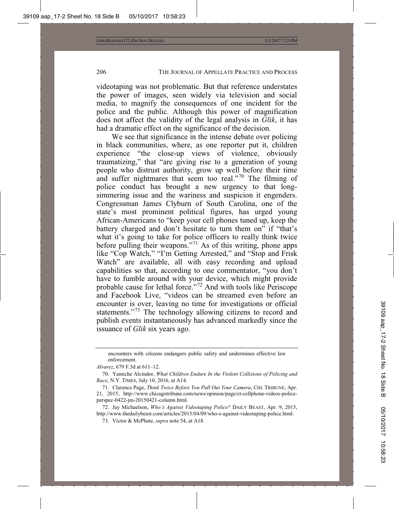videotaping was not problematic. But that reference understates the power of images, seen widely via television and social media, to magnify the consequences of one incident for the police and the public. Although this power of magnification does not affect the validity of the legal analysis in *Glik*, it has had a dramatic effect on the significance of the decision.

We see that significance in the intense debate over policing in black communities, where, as one reporter put it, children experience "the close-up views of violence, obviously traumatizing," that "are giving rise to a generation of young people who distrust authority, grow up well before their time and suffer nightmares that seem too real."<sup>70</sup> The filming of police conduct has brought a new urgency to that longsimmering issue and the wariness and suspicion it engenders. Congressman James Clyburn of South Carolina, one of the state's most prominent political figures, has urged young African-Americans to "keep your cell phones tuned up, keep the battery charged and don't hesitate to turn them on" if "that's what it's going to take for police officers to really think twice before pulling their weapons."<sup>71</sup> As of this writing, phone apps like "Cop Watch," "I'm Getting Arrested," and "Stop and Frisk Watch" are available, all with easy recording and upload capabilities so that, according to one commentator, "you don't have to fumble around with your device, which might provide probable cause for lethal force."<sup>72</sup> And with tools like Periscope and Facebook Live, "videos can be streamed even before an encounter is over, leaving no time for investigations or official statements."<sup>73</sup> The technology allowing citizens to record and publish events instantaneously has advanced markedly since the issuance of *Glik* six years ago.

*Alvarez*, 679 F.3d at 611–12.

encounters with citizens endangers public safety and undermines effective law enforcement.

<sup>70.</sup> Yamiche Alcindor, *What Children Endure In the Violent Collisions of Policing and Race*, N.Y. TIMES, July 10, 2016, at A14.

<sup>71.</sup> Clarence Page, *Think Twice Before You Pull Out Your Camera*, CHI. TRIBUNE, Apr. 21, 2015, http://www.chicagotribune.com/news/opinion/page/ct-cellphone-videos-policeperspec-0422-jm-20150421-column.html.

<sup>72.</sup> Jay Michaelson, *Who's Against Videotaping Police?* DAILY BEAST, Apr. 9, 2015, http://www.thedailybeast.com/articles/2015/04/09/who-s-against-videotaping-police.html.

<sup>73.</sup> Victor & McPhate, *supra* note 54, at A18.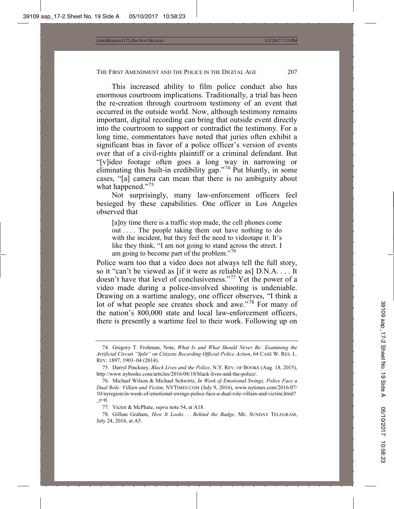This increased ability to film police conduct also has enormous courtroom implications. Traditionally, a trial has been the re-creation through courtroom testimony of an event that occurred in the outside world. Now, although testimony remains important, digital recording can bring that outside event directly into the courtroom to support or contradict the testimony. For a long time, commentators have noted that juries often exhibit a significant bias in favor of a police officer's version of events over that of a civil-rights plaintiff or a criminal defendant. But "[v]ideo footage often goes a long way in narrowing or eliminating this built-in credibility gap."<sup>74</sup> Put bluntly, in some cases, "[a] camera can mean that there is no ambiguity about what happened."<sup>75</sup>

Not surprisingly, many law-enforcement officers feel besieged by these capabilities. One officer in Los Angeles observed that

[a]ny time there is a traffic stop made, the cell phones come out . . . . The people taking them out have nothing to do with the incident, but they feel the need to videotape it. It's like they think, "I am not going to stand across the street. I am going to become part of the problem."<sup>76</sup>

Police warn too that a video does not always tell the full story, so it "can't be viewed as [if it were as reliable as] D.N.A. . . . It doesn't have that level of conclusiveness."<sup>77</sup> Yet the power of a video made during a police-involved shooting is undeniable. Drawing on a wartime analogy, one officer observes, "I think a lot of what people see creates shock and awe."<sup>78</sup> For many of the nation's 800,000 state and local law-enforcement officers, there is presently a wartime feel to their work. Following up on

<sup>74.</sup> Gregory T. Frohman, Note, *What Is and What Should Never Be: Examining the Artificial Circuit "Split" on Citizens Recording Official Police Action*, 64 CASE W. RES. L. REV. 1897, 1903–04 (2014).

<sup>75.</sup> Darryl Pinckney, *Black Lives and the Police*, N.Y. REV. OF BOOKS (Aug. 18, 2015), http://www.nybooks.com/articles/2016/08/18/black-lives-and-the-police/.

<sup>76.</sup> Michael Wilson & Michael Schwirtz, *In Week of Emotional Swings, Police Face a Dual Role: Villain and Victim*, NYTIMES.COM (July 9, 2016), www.nytimes.com/2016/07/ 10/nyregion/in-week-of-emotional-swings-police-face-a-dual-role-villain-and-victim.html?  $r=0$ .

<sup>77.</sup> Victor & McPhate, *supra* note 54, at A18.

<sup>78.</sup> Gillian Graham, *How It Looks . . . Behind the Badge*, ME. SUNDAY TELEGRAM, July 24, 2016, at A5.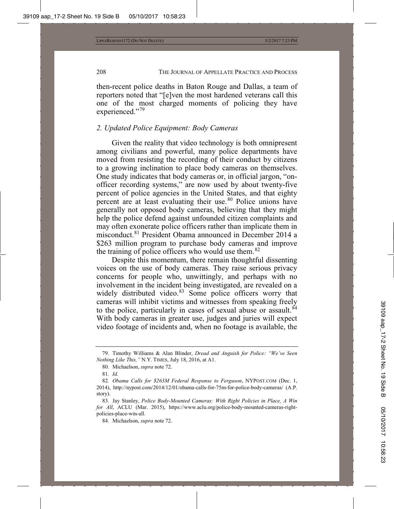then-recent police deaths in Baton Rouge and Dallas, a team of reporters noted that "[e]ven the most hardened veterans call this one of the most charged moments of policing they have experienced."<sup>79</sup>

## *2. Updated Police Equipment: Body Cameras*

Given the reality that video technology is both omnipresent among civilians and powerful, many police departments have moved from resisting the recording of their conduct by citizens to a growing inclination to place body cameras on themselves. One study indicates that body cameras or, in official jargon, "onofficer recording systems," are now used by about twenty-five percent of police agencies in the United States, and that eighty percent are at least evaluating their use.<sup>80</sup> Police unions have generally not opposed body cameras, believing that they might help the police defend against unfounded citizen complaints and may often exonerate police officers rather than implicate them in misconduct.<sup>81</sup> President Obama announced in December 2014 a \$263 million program to purchase body cameras and improve the training of police officers who would use them.<sup>82</sup>

Despite this momentum, there remain thoughtful dissenting voices on the use of body cameras. They raise serious privacy concerns for people who, unwittingly, and perhaps with no involvement in the incident being investigated, are revealed on a widely distributed video.<sup>83</sup> Some police officers worry that cameras will inhibit victims and witnesses from speaking freely to the police, particularly in cases of sexual abuse or assault. $84$ With body cameras in greater use, judges and juries will expect video footage of incidents and, when no footage is available, the

<sup>79.</sup> Timothy Williams & Alan Blinder, *Dread and Anguish for Police: "We've Seen Nothing Like This,"* N.Y. TIMES, July 18, 2016, at A1.

<sup>80.</sup> Michaelson, *supra* note 72.

<sup>81</sup>*. Id.*

<sup>82</sup>*. Obama Calls for \$263M Federal Response to Ferguson*, NYPOST.COM (Dec. 1, 2014), http://nypost.com/2014/12/01/obama-calls-for-75m-for-police-body-cameras/ (A.P. story).

<sup>83.</sup> Jay Stanley, *Police Body-Mounted Cameras: With Right Policies in Place, A Win for All*, ACLU (Mar. 2015), https://www.aclu.org/police-body-mounted-cameras-rightpolicies-place-win-all.

<sup>84.</sup> Michaelson, *supra* note 72.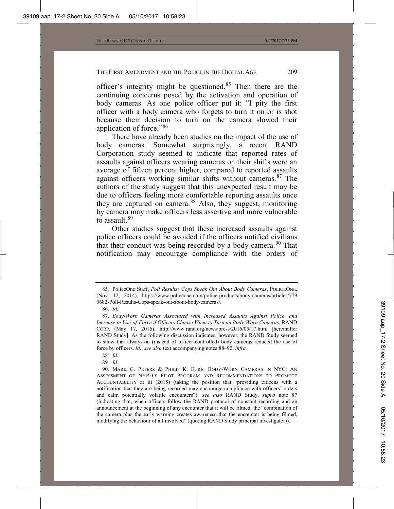officer's integrity might be questioned.<sup>85</sup> Then there are the continuing concerns posed by the activation and operation of body cameras. As one police officer put it: "I pity the first officer with a body camera who forgets to turn it on or is shot because their decision to turn on the camera slowed their application of force."<sup>86</sup>

There have already been studies on the impact of the use of body cameras. Somewhat surprisingly, a recent RAND Corporation study seemed to indicate that reported rates of assaults against officers wearing cameras on their shifts were an average of fifteen percent higher, compared to reported assaults against officers working similar shifts without cameras.<sup>87</sup> The authors of the study suggest that this unexpected result may be due to officers feeling more comfortable reporting assaults once they are captured on camera.<sup>88</sup> Also, they suggest, monitoring by camera may make officers less assertive and more vulnerable to assault.<sup>89</sup>

Other studies suggest that these increased assaults against police officers could be avoided if the officers notified civilians that their conduct was being recorded by a body camera.<sup>90</sup> That notification may encourage compliance with the orders of

<sup>85</sup>*.* PoliceOne Staff, *Poll Results: Cops Speak Out About Body Cameras*, POLICEONE, (Nov. 12, 2014), https://www.policeone.com/police-products/body-cameras/articles/779 0682-Poll-Results-Cops-speak-out-about-body-cameras/.

<sup>86.</sup> *Id.*

<sup>87.</sup> *Body-Worn Cameras Associated with Increased Assaults Against Police, and Increase in Use-of-Force if Officers Choose When to Turn on Body-Worn Cameras*, RAND CORP. (May 17, 2016), http://www.rand.org/news/press/2016/05/17.html [hereinafter RAND Study]. As the following discussion indicates, however, the RAND Study seemed to show that always-on (instead of officer-controlled) body cameras reduced the use of force by officers. *Id.*; *see also* text accompanying notes 88–92, *infra.*

<sup>88</sup>*. Id.*

<sup>89</sup>*. Id.*

<sup>90.</sup> MARK G. PETERS & PHILIP K. EURE, BODY-WORN CAMERAS IN NYC: AN ASSESSMENT OF NYPD'S PILOT PROGRAM AND RECOMMENDATIONS TO PROMOTE ACCOUNTABILITY at iii (2015) (taking the position that "providing citizens with a notification that they are being recorded may encourage compliance with officers' orders and calm potentially volatile encounters"); *see also* RAND Study, *supra* note 87 (indicating that, when officers follow the RAND protocol of constant recording and an announcement at the beginning of any encounter that it will be filmed, the "combination of the camera plus the early warning creates awareness that the encounter is being filmed, modifying the behaviour of all involved" (quoting RAND Study principal investigator)).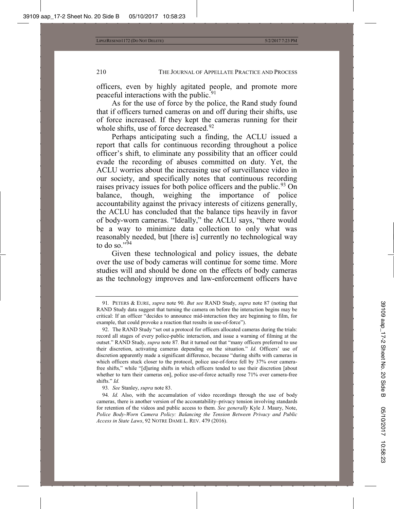officers, even by highly agitated people, and promote more peaceful interactions with the public.<sup>91</sup>

As for the use of force by the police, the Rand study found that if officers turned cameras on and off during their shifts, use of force increased. If they kept the cameras running for their whole shifts, use of force decreased.<sup>92</sup>

Perhaps anticipating such a finding, the ACLU issued a report that calls for continuous recording throughout a police officer's shift, to eliminate any possibility that an officer could evade the recording of abuses committed on duty. Yet, the ACLU worries about the increasing use of surveillance video in our society, and specifically notes that continuous recording raises privacy issues for both police officers and the public.<sup>93</sup> On balance, though, weighing the importance of police accountability against the privacy interests of citizens generally, the ACLU has concluded that the balance tips heavily in favor of body-worn cameras. "Ideally," the ACLU says, "there would be a way to minimize data collection to only what was reasonably needed, but [there is] currently no technological way to do so." $94$ 

Given these technological and policy issues, the debate over the use of body cameras will continue for some time. More studies will and should be done on the effects of body cameras as the technology improves and law-enforcement officers have

<sup>91</sup>*.* PETERS & EURE, *supra* note 90. *But see* RAND Study, *supra* note 87 (noting that RAND Study data suggest that turning the camera on before the interaction begins may be critical: If an officer "decides to announce mid-interaction they are beginning to film, for example, that could provoke a reaction that results in use-of-force").

<sup>92.</sup> The RAND Study "set out a protocol for officers allocated cameras during the trials: record all stages of every police-public interaction, and issue a warning of filming at the outset." RAND Study, *supra* note 87*.* But it turned out that "many officers preferred to use their discretion, activating cameras depending on the situation." *Id.* Officers' use of discretion apparently made a significant difference, because "during shifts with cameras in which officers stuck closer to the protocol, police use-of-force fell by 37% over camerafree shifts," while "[d]uring shifts in which officers tended to use their discretion [about whether to turn their cameras on], police use-of-force actually rose 71% over camera-free shifts." *Id.*

<sup>93</sup>*. See* Stanley, *supra* note 83.

<sup>94</sup>*. Id.* Also, with the accumulation of video recordings through the use of body cameras, there is another version of the accountability–privacy tension involving standards for retention of the videos and public access to them. *See generally* Kyle J. Maury, Note, *Police Body-Worn Camera Policy: Balancing the Tension Between Privacy and Public Access in State Laws*, 92 NOTRE DAME L. REV. 479 (2016).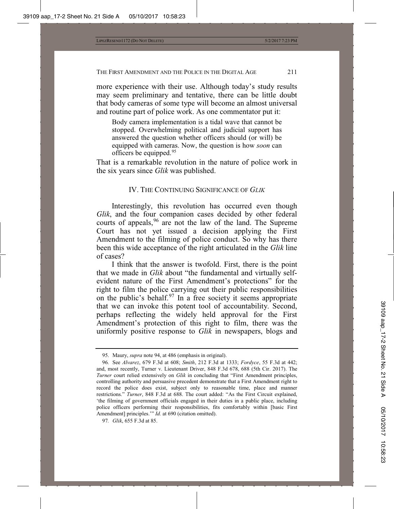more experience with their use. Although today's study results may seem preliminary and tentative, there can be little doubt that body cameras of some type will become an almost universal and routine part of police work. As one commentator put it:

Body camera implementation is a tidal wave that cannot be stopped. Overwhelming political and judicial support has answered the question whether officers should (or will) be equipped with cameras. Now, the question is how *soon* can officers be equipped.95

That is a remarkable revolution in the nature of police work in the six years since *Glik* was published.

## IV. THE CONTINUING SIGNIFICANCE OF *GLIK*

Interestingly, this revolution has occurred even though *Glik*, and the four companion cases decided by other federal courts of appeals,<sup>96</sup> are not the law of the land. The Supreme Court has not yet issued a decision applying the First Amendment to the filming of police conduct. So why has there been this wide acceptance of the right articulated in the *Glik* line of cases?

I think that the answer is twofold. First, there is the point that we made in *Glik* about "the fundamental and virtually selfevident nature of the First Amendment's protections" for the right to film the police carrying out their public responsibilities on the public's behalf.<sup>97</sup> In a free society it seems appropriate that we can invoke this potent tool of accountability. Second, perhaps reflecting the widely held approval for the First Amendment's protection of this right to film, there was the uniformly positive response to *Glik* in newspapers, blogs and

<sup>95.</sup> Maury, *supra* note 94, at 486 (emphasis in original).

<sup>96</sup>*.* See *Alvarez*, 679 F.3d at 608; *Smith*, 212 F.3d at 1333; *Fordyce*, 55 F.3d at 442; and, most recently, Turner v. Lieutenant Driver, 848 F.3d 678, 688 (5th Cir. 2017). The *Turner* court relied extensively on *Glik* in concluding that "First Amendment principles, controlling authority and persuasive precedent demonstrate that a First Amendment right to record the police does exist, subject only to reasonable time, place and manner restrictions." *Turner*, 848 F.3d at 688. The court added: "As the First Circuit explained, 'the filming of government officials engaged in their duties in a public place, including police officers performing their responsibilities, fits comfortably within [basic First Amendment] principles." *Id.* at 690 (citation omitted).

<sup>97</sup>*. Glik*, 655 F.3d at 85.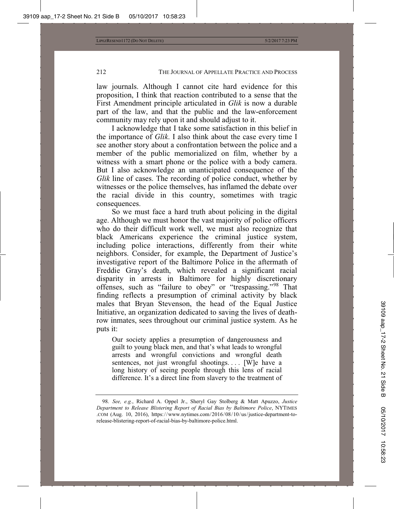law journals. Although I cannot cite hard evidence for this proposition, I think that reaction contributed to a sense that the First Amendment principle articulated in *Glik* is now a durable part of the law, and that the public and the law-enforcement community may rely upon it and should adjust to it.

I acknowledge that I take some satisfaction in this belief in the importance of *Glik*. I also think about the case every time I see another story about a confrontation between the police and a member of the public memorialized on film, whether by a witness with a smart phone or the police with a body camera. But I also acknowledge an unanticipated consequence of the *Glik* line of cases. The recording of police conduct, whether by witnesses or the police themselves, has inflamed the debate over the racial divide in this country, sometimes with tragic consequences.

So we must face a hard truth about policing in the digital age. Although we must honor the vast majority of police officers who do their difficult work well, we must also recognize that black Americans experience the criminal justice system, including police interactions, differently from their white neighbors. Consider, for example, the Department of Justice's investigative report of the Baltimore Police in the aftermath of Freddie Gray's death, which revealed a significant racial disparity in arrests in Baltimore for highly discretionary offenses, such as "failure to obey" or "trespassing."<sup>98</sup> That finding reflects a presumption of criminal activity by black males that Bryan Stevenson, the head of the Equal Justice Initiative, an organization dedicated to saving the lives of deathrow inmates, sees throughout our criminal justice system. As he puts it:

Our society applies a presumption of dangerousness and guilt to young black men, and that's what leads to wrongful arrests and wrongful convictions and wrongful death sentences, not just wrongful shootings.... [W]e have a long history of seeing people through this lens of racial difference. It's a direct line from slavery to the treatment of

<sup>98.</sup> *See, e.g.*, Richard A. Oppel Jr., Sheryl Gay Stolberg & Matt Apuzzo, *Justice Department to Release Blistering Report of Racial Bias by Baltimore Police*, NYTIMES .COM (Aug. 10, 2016), https://www.nytimes.com/2016/08/10/us/justice-department-torelease-blistering-report-of-racial-bias-by-baltimore-police.html.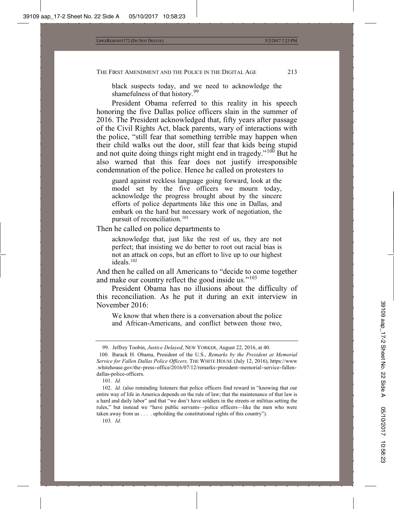black suspects today, and we need to acknowledge the shamefulness of that history.<sup>99</sup>

President Obama referred to this reality in his speech honoring the five Dallas police officers slain in the summer of 2016. The President acknowledged that, fifty years after passage of the Civil Rights Act, black parents, wary of interactions with the police, "still fear that something terrible may happen when their child walks out the door, still fear that kids being stupid and not quite doing things right might end in tragedy."<sup>100</sup> But he also warned that this fear does not justify irresponsible condemnation of the police. Hence he called on protesters to

guard against reckless language going forward, look at the model set by the five officers we mourn today, acknowledge the progress brought about by the sincere efforts of police departments like this one in Dallas, and embark on the hard but necessary work of negotiation, the pursuit of reconciliation.<sup>101</sup>

Then he called on police departments to

acknowledge that, just like the rest of us, they are not perfect; that insisting we do better to root out racial bias is not an attack on cops, but an effort to live up to our highest ideals.102

And then he called on all Americans to "decide to come together and make our country reflect the good inside us."<sup>103</sup>

President Obama has no illusions about the difficulty of this reconciliation. As he put it during an exit interview in November 2016:

We know that when there is a conversation about the police and African-Americans, and conflict between those two,

<sup>99.</sup> Jeffrey Toobin, *Justice Delayed*, NEW YORKER, August 22, 2016, at 40.

 <sup>100.</sup> Barack H. Obama, President of the U.S., *Remarks by the President at Memorial Service for Fallen Dallas Police Officers,* THE WHITE HOUSE (July 12, 2016), https://www .whitehouse.gov/the-press-office/2016/07/12/remarks-president-memorial-service-fallendallas-police-officers.

<sup>101.</sup> *Id.*

<sup>102.</sup> *Id.* (also reminding listeners that police officers find reward in "knowing that our entire way of life in America depends on the rule of law; that the maintenance of that law is a hard and daily labor" and that "we don't have soldiers in the streets or militias setting the rules," but instead we "have public servants—police officers—like the men who were taken away from us . . . . upholding the constitutional rights of this country").

<sup>103</sup>*. Id.*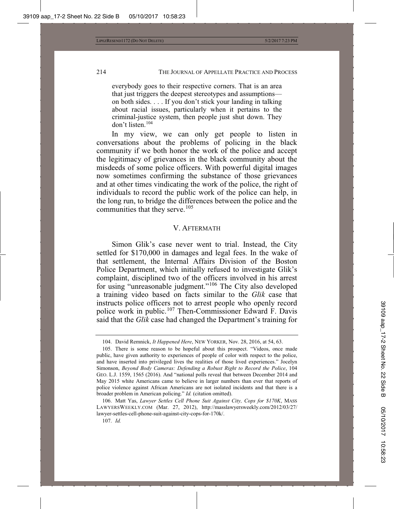everybody goes to their respective corners. That is an area that just triggers the deepest stereotypes and assumptions on both sides. . . . If you don't stick your landing in talking about racial issues, particularly when it pertains to the criminal-justice system, then people just shut down. They don't listen.104

In my view, we can only get people to listen in conversations about the problems of policing in the black community if we both honor the work of the police and accept the legitimacy of grievances in the black community about the misdeeds of some police officers. With powerful digital images now sometimes confirming the substance of those grievances and at other times vindicating the work of the police, the right of individuals to record the public work of the police can help, in the long run, to bridge the differences between the police and the communities that they serve.<sup>105</sup>

#### V. AFTERMATH

Simon Glik's case never went to trial. Instead, the City settled for \$170,000 in damages and legal fees. In the wake of that settlement, the Internal Affairs Division of the Boston Police Department, which initially refused to investigate Glik's complaint, disciplined two of the officers involved in his arrest for using "unreasonable judgment."<sup>106</sup> The City also developed a training video based on facts similar to the *Glik* case that instructs police officers not to arrest people who openly record police work in public.<sup>107</sup> Then-Commissioner Edward F. Davis said that the *Glik* case had changed the Department's training for

<sup>104.</sup> David Remnick, *It Happened Here*, NEW YORKER, Nov. 28, 2016, at 54, 63.

<sup>105.</sup> There is some reason to be hopeful about this prospect. "Videos, once made public, have given authority to experiences of people of color with respect to the police, and have inserted into privileged lives the realities of those lived experiences." Jocelyn Simonson, *Beyond Body Cameras: Defending a Robust Right to Record the Police*, 104 GEO. L.J. 1559, 1565 (2016). And "national polls reveal that between December 2014 and May 2015 white Americans came to believe in larger numbers than ever that reports of police violence against African Americans are not isolated incidents and that there is a broader problem in American policing." *Id.* (citation omitted).

<sup>106.</sup> Matt Yas, *Lawyer Settles Cell Phone Suit Against City, Cops for \$170K*, MASS LAWYERSWEEKLY.COM (Mar. 27, 2012), http://masslawyersweekly.com/2012/03/27/ lawyer-settles-cell-phone-suit-against-city-cops-for-170k/.

<sup>107.</sup> *Id.*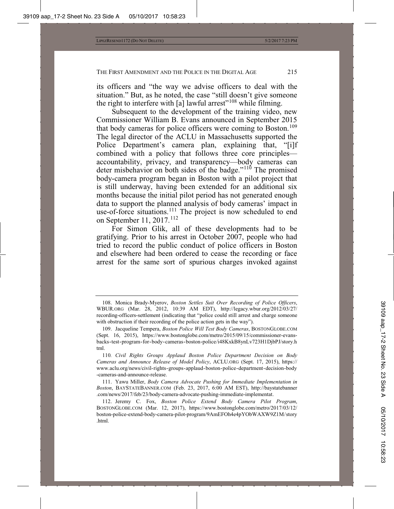its officers and "the way we advise officers to deal with the situation." But, as he noted, the case "still doesn't give someone the right to interfere with [a] lawful arrest"<sup>108</sup> while filming.

Subsequent to the development of the training video, new Commissioner William B. Evans announced in September 2015 that body cameras for police officers were coming to Boston.<sup>109</sup> The legal director of the ACLU in Massachusetts supported the Police Department's camera plan, explaining that, "[i]f combined with a policy that follows three core principles accountability, privacy, and transparency—body cameras can deter misbehavior on both sides of the badge."<sup>110</sup> The promised body-camera program began in Boston with a pilot project that is still underway, having been extended for an additional six months because the initial pilot period has not generated enough data to support the planned analysis of body cameras' impact in use-of-force situations.<sup>111</sup> The project is now scheduled to end on September 11, 2017.<sup>112</sup>

For Simon Glik, all of these developments had to be gratifying. Prior to his arrest in October 2007, people who had tried to record the public conduct of police officers in Boston and elsewhere had been ordered to cease the recording or face arrest for the same sort of spurious charges invoked against

<sup>108.</sup> Monica Brady-Myerov, *Boston Settles Suit Over Recording of Police Officers*, WBUR.ORG (Mar. 28, 2012, 10:39 AM EDT), http://legacy.wbur.org/2012/03/27/ recording-officers-settlement (indicating that "police could still arrest and charge someone with obstruction if their recording of the police action gets in the way").

<sup>109.</sup> Jacqueline Tempera, *Boston Police Will Test Body Cameras*, BOSTONGLOBE.COM (Sept. 16, 2015), https://www.bostonglobe.com/metro/2015/09/15/commissioner-evansbacks-test-program-for-body-cameras-boston-police/i48KxkB8ynLv723H1DjbPJ/story.h tml.

<sup>110</sup>*. Civil Rights Groups Applaud Boston Police Department Decision on Body Cameras and Announce Release of Model Policy*, ACLU.ORG (Sept. 17, 2015), https:// www.aclu.org/news/civil-rights-groups-applaud-boston-police-department-decision-body -cameras-and-announce-release.

<sup>111.</sup> Yawu Miller, *Body Camera Advocate Pushing for Immediate Implementation in Boston*, BAYSTATEBANNER.COM (Feb. 23, 2017, 6:00 AM EST), http://baystatebanner .com/news/2017/feb/23/body-camera-advocate-pushing-immediate-implementat.

<sup>112.</sup> Jeremy C. Fox, *Boston Police Extend Body Camera Pilot Program*, BOSTONGLOBE.COM (Mar. 12, 2017), https://www.bostonglobe.com/metro/2017/03/12/ boston-police-extend-body-camera-pilot-program/9AmEFOh4e4pYObWAXW9Z1M/story .html.